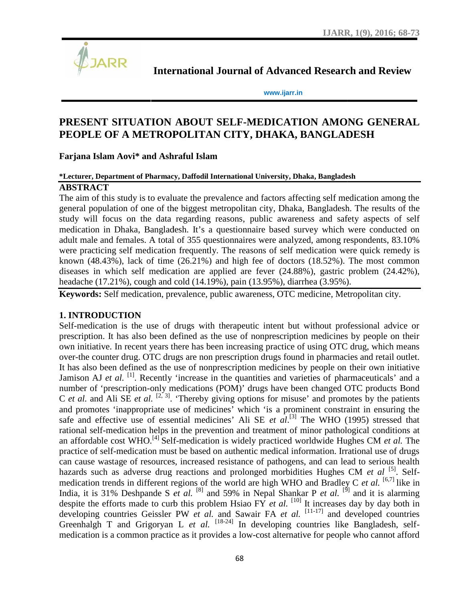

**International Journal of Advanced Research and Review**

**www.ijarr.in**

# **PRESENT SITUATION ABOUT SELF-MEDICATION AMONG GENERAL PEOPLE OF A METROPOLITAN CITY, DHAKA, BANGLADESH OF A and Review<br>AMONG GENERAL**

# **Farjana Islam Aovi\* and Ashraful Islam**

#### **\*Lecturer, Department of Pharmacy, Daffodil International University, Dhaka, Bangladesh Pharmacy, Daffodil University, Dhaka,**

#### **ABSTRACT**

The aim of this study is to evaluate the prevalence and factors affecting self medication among the general population of one of the biggest metropolitan city, Dhaka, Bangladesh. The results of the<br>study will focus on the data regarding reasons, public awareness and safety aspects of self<br>medication in Dhaka, Bangladesh. study will focus on the data regarding reasons, public awareness and safety aspects of self medication in Dhaka, Bangladesh. It's a questionnaire based survey which were conducted on adult male and females. A total of 355 questionnaires were analyzed, among respondents, 83.10% were practicing self medication frequently. The reasons of self medication were quick remedy is known (48.43%), lack of time (26.21%) and high fee of doctors (18.52%). The most common diseases in which self medication are applied are fever (24.88%), gastric problem (24.42%), headache (17.21%), cough and cold (14.19%), pain (13.95%), diarrhea (3.95%).

**Keywords:** Self medication, prevalence, public awareness, OTC medicine, Metropolitan city.

#### **1. INTRODUCTION**

Self-medication is the use of drugs with therapeutic intent but without professional advice or prescription. It has also been defined as the use of nonprescription medicines by people on their own initiative. In recent years there has been increasing practice of using OTC drug, which means over-the counter drug. OTC drugs are non prescription drugs found in pharmacies and retail outlet. It has also been defined as the use of nonprescription medicines by people on their own initiative Jamison AJ *et al.* <sup>[1]</sup>. Recently 'increase in the quantities and varieties of pharmaceuticals' and a number of 'prescription-only medications (POM)' drugs have been changed OTC products Bond C *et al.* and Ali SE *et al.* <sup>[2, 3]</sup>. 'Thereby giving options for misuse' and promotes by the patients and promotes 'inappropriate use of medicines' which 'is a prominent constraint in ensuring the safe and effective use of essential medicines' Ali SE *et al*.<sup>[3]</sup> The WHO (1995) stressed that rational self-medication helps in the prevention and treatment of minor pathological conditions at an affordable cost WHO.<sup>[4]</sup> Self-medication is widely practiced worldwide Hughes CM *et al.* The practice of self-medication must be based on authentic medical information. Irrational use of drugs can cause wastage of resources, increased resistance of pathogens, and can lead to serious health practice of self-medication must be based on authentic medical information. Irrational use of drugs<br>can cause wastage of resources, increased resistance of pathogens, and can lead to serious health<br>hazards such as adverse medication trends in different regions of the world are high WHO and Bradley C *et al.*  $[6,7]$  like in India, it is 31% Deshpande S *et al.* <sup>[8]</sup> and 59% in Nepal Shankar P *et al.* <sup>[9]</sup> and it is alarming despite the efforts made to curb this problem Hsiao  $\overrightarrow{YY}$  *et al.* [10] It increases day by day both in developing countries Geissler PW *et al.* and Sawair FA *et al.* [11-17] and developed countries Greenhalgh T and Grigoryan L *et al.*  $[18-24]$  In developing countries like Bangladesh, selfmedication is a common practice as it provides a low-cost alternative for people who cannot afford known (48.43%), lack of time (26.21%) and high fee of doctors (18.52%). The most comm<br>diseases in which self medication are applied are fever (24.88%), gastric problem (24.42<br>headache (17.21%), cough and cold (14.19%), pa is 31% Deshpande S *et al.* [<sup>8]</sup> and 59% in Nepal Shankar P *et al.* [<sup>9]</sup> and it is alarming the efforts made to curb this problem Hsiao FY *et al.* [<sup>10]</sup> It increases day by day both in *et* **OF A METROPOLITAN CITY, DHAKA, BANG:**<br>
am Aovi<sup>2</sup> and Ashraful Islam<br>
partment of Pharmaey, Daffodil International University, Dhaka, Bang<br>
his study is to evaluate the prevalence and factors affecting self-<br>
allation of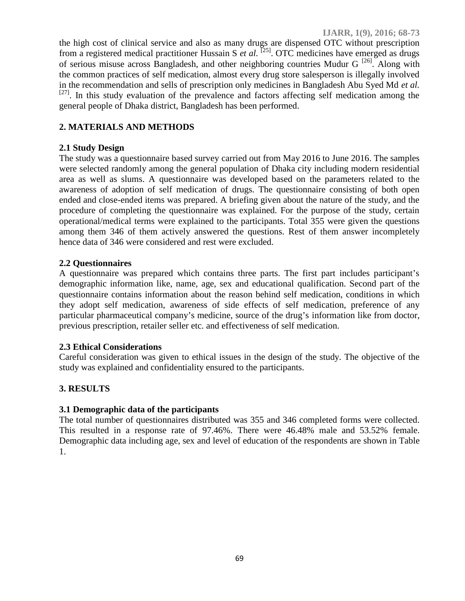the high cost of clinical service and also as many drugs are dispensed OTC without prescription from a registered medical practitioner Hussain S *et al.* [25]. OTC medicines have emerged as drugs of serious misuse across Bangladesh, and other neighboring countries Mudur G  $^{[26]}$ . Along with the common practices of self medication, almost every drug store salesperson is illegally involved in the recommendation and sells of prescription only medicines in Bangladesh Abu Syed Md *et al.*  $[27]$ . In this study evaluation of the prevalence and factors affecting self medication among the general people of Dhaka district, Bangladesh has been performed.

# **2. MATERIALS AND METHODS**

## **2.1 Study Design**

The study was a questionnaire based survey carried out from May 2016 to June 2016. The samples were selected randomly among the general population of Dhaka city including modern residential area as well as slums. A questionnaire was developed based on the parameters related to the awareness of adoption of self medication of drugs. The questionnaire consisting of both open ended and close-ended items was prepared. A briefing given about the nature of the study, and the procedure of completing the questionnaire was explained. For the purpose of the study, certain operational/medical terms were explained to the participants. Total 355 were given the questions among them 346 of them actively answered the questions. Rest of them answer incompletely hence data of 346 were considered and rest were excluded.

## **2.2 Questionnaires**

A questionnaire was prepared which contains three parts. The first part includes participant's demographic information like, name, age, sex and educational qualification. Second part of the questionnaire contains information about the reason behind self medication, conditions in which they adopt self medication, awareness of side effects of self medication, preference of any particular pharmaceutical company's medicine, source of the drug's information like from doctor, previous prescription, retailer seller etc. and effectiveness of self medication.

#### **2.3 Ethical Considerations**

Careful consideration was given to ethical issues in the design of the study. The objective of the study was explained and confidentiality ensured to the participants.

# **3. RESULTS**

# **3.1 Demographic data of the participants**

The total number of questionnaires distributed was 355 and 346 completed forms were collected. This resulted in a response rate of 97.46%. There were 46.48% male and 53.52% female. Demographic data including age, sex and level of education of the respondents are shown in Table 1.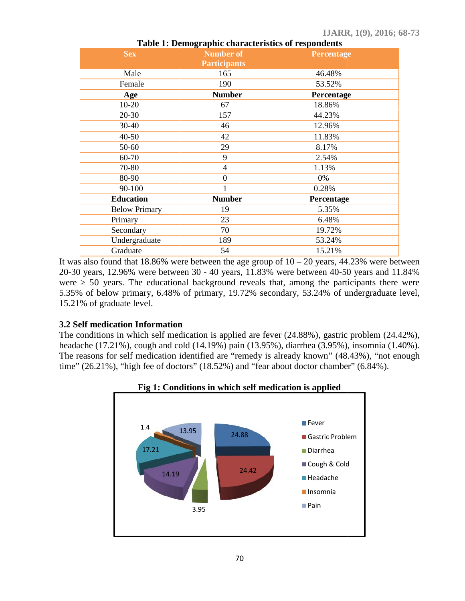| Table 1. Demographic enaracteristics of respondents |                     |            |
|-----------------------------------------------------|---------------------|------------|
| <b>Sex</b>                                          | <b>Number of</b>    | Percentage |
|                                                     | <b>Participants</b> |            |
| Male                                                | 165                 | 46.48%     |
| Female                                              | 190                 | 53.52%     |
| Age                                                 | <b>Number</b>       | Percentage |
| $10 - 20$                                           | 67                  | 18.86%     |
| 20-30                                               | 157                 | 44.23%     |
| 30-40                                               | 46                  | 12.96%     |
| $40 - 50$                                           | 42                  | 11.83%     |
| 50-60                                               | 29                  | 8.17%      |
| 60-70                                               | 9                   | 2.54%      |
| 70-80                                               | $\overline{4}$      | 1.13%      |
| 80-90                                               | $\theta$            | 0%         |
| 90-100                                              | 1                   | 0.28%      |
| <b>Education</b>                                    | <b>Number</b>       | Percentage |
| <b>Below Primary</b>                                | 19                  | 5.35%      |
| Primary                                             | 23                  | 6.48%      |
| Secondary                                           | 70                  | 19.72%     |
| Undergraduate                                       | 189                 | 53.24%     |
| Graduate                                            | 54                  | 15.21%     |

**Table 1: Demographic characteristics of respondents of respondents**

It was also found that 18.86% were between the age group of  $10 - 20$  years, 44.23% were between 20-30 years, 12.96% were between 30 - 40 years, 11.83% were between 40-50 years and 11.84% were = 50 years. The educational background reveals that, among the participants there were 5.35% of below primary, 6.48% of primary, 19.72% secondary, 53.24% of undergraduate level, 15.21% of graduate level. found that 18.86% were between the age group of  $10 - 20$  years, 44.23% were, 12.96% were between 30 - 40 years, 11.83% were between 40-50 years an years. The educational background reveals that, among the participants the

#### **3.2 Self medication Information Self medication Information**

The conditions in which self medication is applied are fever (24.88%), gastric problem (24.42%), The conditions in which self medication is applied are fever (24.88%), gastric problem (24.42%), headache (17.21%), cough and cold (14.19%) pain (13.95%), diarrhea (3.95%), insomnia (1.40%). The reasons for self medication identified are "remedy is already known" (48.43%), "not enough time" (26.21%), "high fee of doctors" (18.52%) and "fear about doctor chamber" (6.84%).



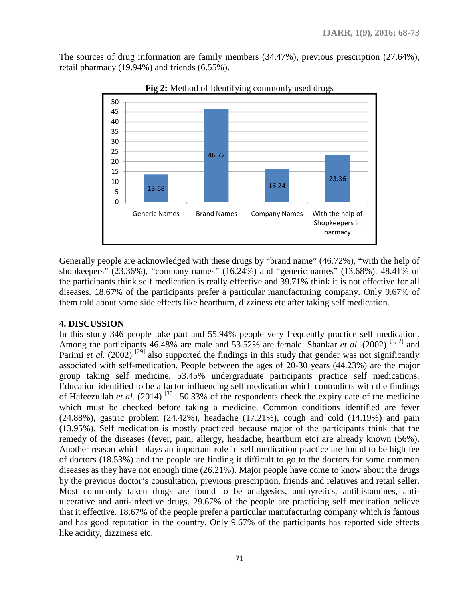The sources of drug information are family members (34.47%), previous prescription (27.64%), retail pharmacy (19.94%) and friends (6.55%).



**Fig 2:** Method of Identifying commonly used drugs

Generally people are acknowledged with these drugs by "brand name" (46.72%), "with the help of shopkeepers" (23.36%), "company names" (16.24%) and "generic names" (13.68%). 48.41% of the participants think self medication is really effective and 39.71% think it is not effective for all diseases. 18.67% of the participants prefer a particular manufacturing company. Only 9.67% of them told about some side effects like heartburn, dizziness etc after taking self medication.

#### **4. DISCUSSION**

In this study 346 people take part and 55.94% people very frequently practice self medication. Among the participants 46.48% are male and 53.52% are female. Shankar *et al.* (2002)<sup>[9, 2]</sup> and Parimi *et al.* (2002)<sup>[29]</sup> also supported the findings in this study that gender was not significantly associated with self-medication. People between the ages of 20-30 years (44.23%) are the major group taking self medicine. 53.45% undergraduate participants practice self medications. Education identified to be a factor influencing self medication which contradicts with the findings of Hafeezullah *et al.* (2014)<sup>[30]</sup>. 50.33% of the respondents check the expiry date of the medicine which must be checked before taking a medicine. Common conditions identified are fever  $(24.88\%)$ , gastric problem  $(24.42\%)$ , headache  $(17.21\%)$ , cough and cold  $(14.19\%)$  and pain (13.95%). Self medication is mostly practiced because major of the participants think that the remedy of the diseases (fever, pain, allergy, headache, heartburn etc) are already known (56%). Another reason which plays an important role in self medication practice are found to be high fee of doctors (18.53%) and the people are finding it difficult to go to the doctors for some common diseases as they have not enough time (26.21%). Major people have come to know about the drugs by the previous doctor's consultation, previous prescription, friends and relatives and retail seller. Most commonly taken drugs are found to be analgesics, antipyretics, antihistamines, anti ulcerative and anti-infective drugs. 29.67% of the people are practicing self medication believe that it effective. 18.67% of the people prefer a particular manufacturing company which is famous and has good reputation in the country. Only 9.67% of the participants has reported side effects like acidity, dizziness etc.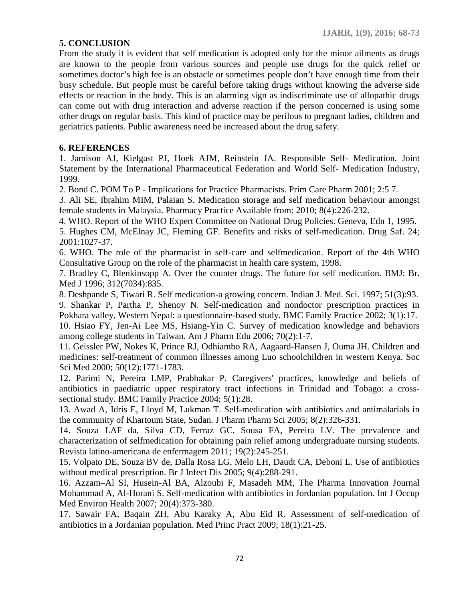# **5. CONCLUSION**

From the study it is evident that self medication is adopted only for the minor ailments as drugs are known to the people from various sources and people use drugs for the quick relief or sometimes doctor's high fee is an obstacle or sometimes people don't have enough time from their busy schedule. But people must be careful before taking drugs without knowing the adverse side effects or reaction in the body. This is an alarming sign as indiscriminate use of allopathic drugs can come out with drug interaction and adverse reaction if the person concerned is using some other drugs on regular basis. This kind of practice may be perilous to pregnant ladies, children and geriatrics patients. Public awareness need be increased about the drug safety.

## **6. REFERENCES**

1. Jamison AJ, Kielgast PJ, Hoek AJM, Reinstein JA. Responsible Self- Medication. Joint Statement by the International Pharmaceutical Federation and World Self- Medication Industry, 1999.

2. Bond C. POM To P - Implications for Practice Pharmacists. Prim Care Pharm 2001; 2:5 7.

3. Ali SE, Ibrahim MIM, Palaian S. Medication storage and self medication behaviour amongst female students in Malaysia. Pharmacy Practice Available from: 2010; 8(4):226-232.

4. WHO. Report of the WHO Expert Committee on National Drug Policies. Geneva, Edn 1, 1995.

5. Hughes CM, McElnay JC, Fleming GF. Benefits and risks of self-medication. Drug Saf. 24; 2001:1027-37.

6. WHO. The role of the pharmacist in self-care and selfmedication. Report of the 4th WHO Consultative Group on the role of the pharmacist in health care system, 1998.

7. Bradley C, Blenkinsopp A. Over the counter drugs. The future for self medication. BMJ: Br. Med J 1996; 312(7034):835.

8. Deshpande S, Tiwari R. Self medication-a growing concern. Indian J. Med. Sci. 1997; 51(3):93.

9. Shankar P, Partha P, Shenoy N. Self-medication and nondoctor prescription practices in Pokhara valley, Western Nepal: a questionnaire-based study. BMC Family Practice 2002; 3(1):17.

10. Hsiao FY, Jen-Ai Lee MS, Hsiang-Yin C. Survey of medication knowledge and behaviors among college students in Taiwan. Am J Pharm Edu 2006; 70(2):1-7.

11. Geissler PW, Nokes K, Prince RJ, Odhiambo RA, Aagaard-Hansen J, Ouma JH. Children and medicines: self-treatment of common illnesses among Luo schoolchildren in western Kenya. Soc Sci Med 2000; 50(12):1771-1783.

12. Parimi N, Pereira LMP, Prabhakar P. Caregivers' practices, knowledge and beliefs of antibiotics in paediatric upper respiratory tract infections in Trinidad and Tobago: a cross sectional study. BMC Family Practice 2004; 5(1):28.

13. Awad A, Idris E, Lloyd M, Lukman T. Self-medication with antibiotics and antimalarials in the community of Khartoum State, Sudan. J Pharm Pharm Sci 2005; 8(2):326-331.

14. Souza LAF da, Silva CD, Ferraz GC, Sousa FA, Pereira LV. The prevalence and characterization of selfmedication for obtaining pain relief among undergraduate nursing students. Revista latino-americana de enfermagem 2011; 19(2):245-251.

15. Volpato DE, Souza BV de, Dalla Rosa LG, Melo LH, Daudt CA, Deboni L. Use of antibiotics without medical prescription. Br J Infect Dis 2005; 9(4):288-291.

16. Azzam–Al SI, Husein-Al BA, Alzoubi F, Masadeh MM, The Pharma Innovation Journal Mohammad A, Al-Horani S. Self-medication with antibiotics in Jordanian population. Int J Occup Med Environ Health 2007; 20(4):373-380.

17. Sawair FA, Baqain ZH, Abu Karaky A, Abu Eid R. Assessment of self-medication of antibiotics in a Jordanian population. Med Princ Pract 2009; 18(1):21-25.